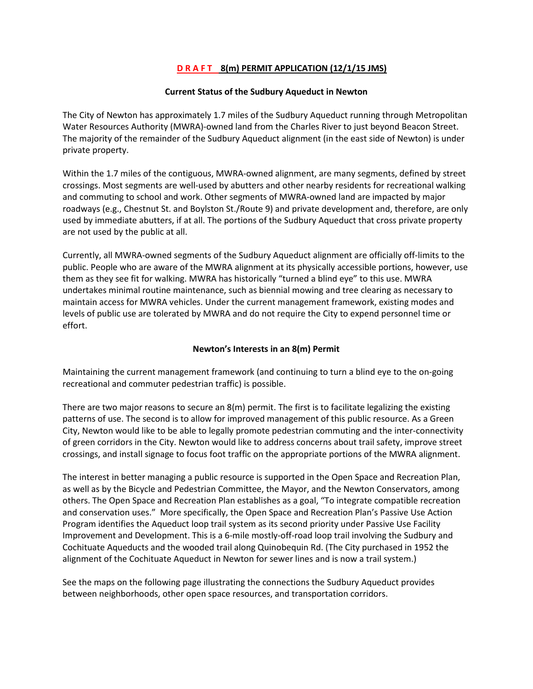# **D R A F T 8(m) PERMIT APPLICATION (12/1/15 JMS)**

### **Current Status of the Sudbury Aqueduct in Newton**

The City of Newton has approximately 1.7 miles of the Sudbury Aqueduct running through Metropolitan Water Resources Authority (MWRA)-owned land from the Charles River to just beyond Beacon Street. The majority of the remainder of the Sudbury Aqueduct alignment (in the east side of Newton) is under private property.

Within the 1.7 miles of the contiguous, MWRA-owned alignment, are many segments, defined by street crossings. Most segments are well-used by abutters and other nearby residents for recreational walking and commuting to school and work. Other segments of MWRA-owned land are impacted by major roadways (e.g., Chestnut St. and Boylston St./Route 9) and private development and, therefore, are only used by immediate abutters, if at all. The portions of the Sudbury Aqueduct that cross private property are not used by the public at all.

Currently, all MWRA-owned segments of the Sudbury Aqueduct alignment are officially off-limits to the public. People who are aware of the MWRA alignment at its physically accessible portions, however, use them as they see fit for walking. MWRA has historically "turned a blind eye" to this use. MWRA undertakes minimal routine maintenance, such as biennial mowing and tree clearing as necessary to maintain access for MWRA vehicles. Under the current management framework, existing modes and levels of public use are tolerated by MWRA and do not require the City to expend personnel time or effort.

## **Newton's Interests in an 8(m) Permit**

Maintaining the current management framework (and continuing to turn a blind eye to the on-going recreational and commuter pedestrian traffic) is possible.

There are two major reasons to secure an 8(m) permit. The first is to facilitate legalizing the existing patterns of use. The second is to allow for improved management of this public resource. As a Green City, Newton would like to be able to legally promote pedestrian commuting and the inter-connectivity of green corridors in the City. Newton would like to address concerns about trail safety, improve street crossings, and install signage to focus foot traffic on the appropriate portions of the MWRA alignment.

The interest in better managing a public resource is supported in the Open Space and Recreation Plan, as well as by the Bicycle and Pedestrian Committee, the Mayor, and the Newton Conservators, among others. The Open Space and Recreation Plan establishes as a goal, "To integrate compatible recreation and conservation uses." More specifically, the Open Space and Recreation Plan's Passive Use Action Program identifies the Aqueduct loop trail system as its second priority under Passive Use Facility Improvement and Development. This is a 6-mile mostly-off-road loop trail involving the Sudbury and Cochituate Aqueducts and the wooded trail along Quinobequin Rd. (The City purchased in 1952 the alignment of the Cochituate Aqueduct in Newton for sewer lines and is now a trail system.)

See the maps on the following page illustrating the connections the Sudbury Aqueduct provides between neighborhoods, other open space resources, and transportation corridors.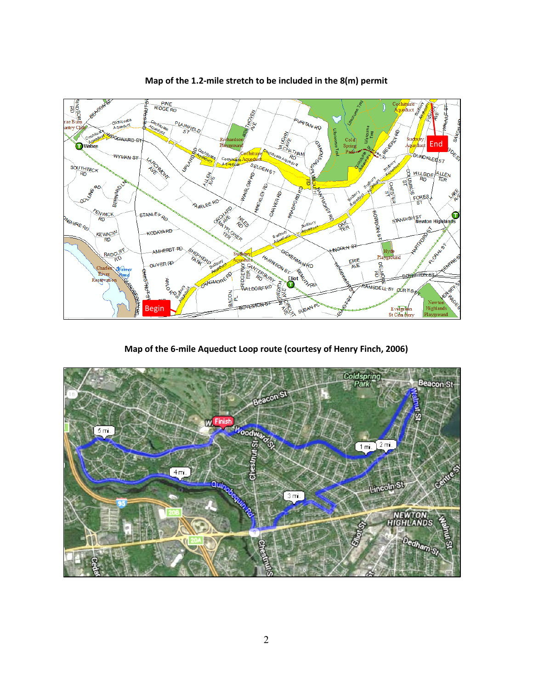

**Map of the 1.2-mile stretch to be included in the 8(m) permit**

**Map of the 6-mile Aqueduct Loop route (courtesy of Henry Finch, 2006)**

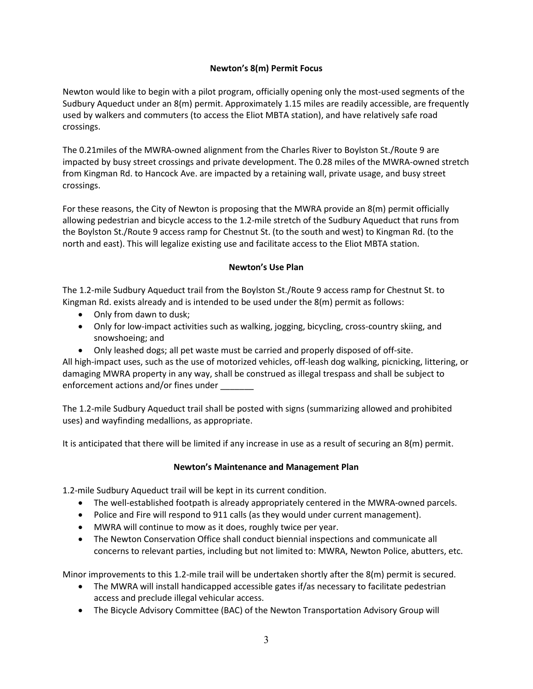# **Newton's 8(m) Permit Focus**

Newton would like to begin with a pilot program, officially opening only the most-used segments of the Sudbury Aqueduct under an 8(m) permit. Approximately 1.15 miles are readily accessible, are frequently used by walkers and commuters (to access the Eliot MBTA station), and have relatively safe road crossings.

The 0.21miles of the MWRA-owned alignment from the Charles River to Boylston St./Route 9 are impacted by busy street crossings and private development. The 0.28 miles of the MWRA-owned stretch from Kingman Rd. to Hancock Ave. are impacted by a retaining wall, private usage, and busy street crossings.

For these reasons, the City of Newton is proposing that the MWRA provide an 8(m) permit officially allowing pedestrian and bicycle access to the 1.2-mile stretch of the Sudbury Aqueduct that runs from the Boylston St./Route 9 access ramp for Chestnut St. (to the south and west) to Kingman Rd. (to the north and east). This will legalize existing use and facilitate access to the Eliot MBTA station.

# **Newton's Use Plan**

The 1.2-mile Sudbury Aqueduct trail from the Boylston St./Route 9 access ramp for Chestnut St. to Kingman Rd. exists already and is intended to be used under the  $8(m)$  permit as follows:

- Only from dawn to dusk;
- Only for low-impact activities such as walking, jogging, bicycling, cross-country skiing, and snowshoeing; and
- Only leashed dogs; all pet waste must be carried and properly disposed of off-site.

All high-impact uses, such as the use of motorized vehicles, off-leash dog walking, picnicking, littering, or damaging MWRA property in any way, shall be construed as illegal trespass and shall be subject to enforcement actions and/or fines under

The 1.2-mile Sudbury Aqueduct trail shall be posted with signs (summarizing allowed and prohibited uses) and wayfinding medallions, as appropriate.

It is anticipated that there will be limited if any increase in use as a result of securing an 8(m) permit.

## **Newton's Maintenance and Management Plan**

1.2-mile Sudbury Aqueduct trail will be kept in its current condition.

- The well-established footpath is already appropriately centered in the MWRA-owned parcels.
- Police and Fire will respond to 911 calls (as they would under current management).
- MWRA will continue to mow as it does, roughly twice per year.
- The Newton Conservation Office shall conduct biennial inspections and communicate all concerns to relevant parties, including but not limited to: MWRA, Newton Police, abutters, etc.

Minor improvements to this 1.2-mile trail will be undertaken shortly after the 8(m) permit is secured.

- The MWRA will install handicapped accessible gates if/as necessary to facilitate pedestrian access and preclude illegal vehicular access.
- The Bicycle Advisory Committee (BAC) of the Newton Transportation Advisory Group will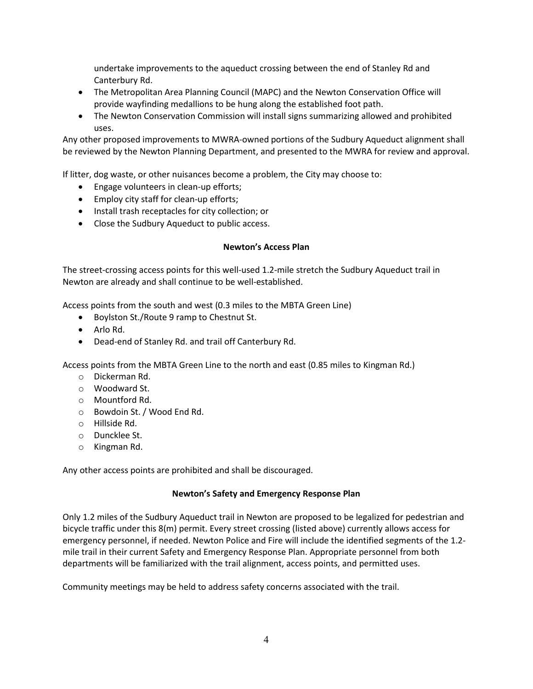undertake improvements to the aqueduct crossing between the end of Stanley Rd and Canterbury Rd.

- The Metropolitan Area Planning Council (MAPC) and the Newton Conservation Office will provide wayfinding medallions to be hung along the established foot path.
- The Newton Conservation Commission will install signs summarizing allowed and prohibited uses.

Any other proposed improvements to MWRA-owned portions of the Sudbury Aqueduct alignment shall be reviewed by the Newton Planning Department, and presented to the MWRA for review and approval.

If litter, dog waste, or other nuisances become a problem, the City may choose to:

- Engage volunteers in clean-up efforts;
- Employ city staff for clean-up efforts;
- Install trash receptacles for city collection; or
- Close the Sudbury Aqueduct to public access.

### **Newton's Access Plan**

The street-crossing access points for this well-used 1.2-mile stretch the Sudbury Aqueduct trail in Newton are already and shall continue to be well-established.

Access points from the south and west (0.3 miles to the MBTA Green Line)

- Boylston St./Route 9 ramp to Chestnut St.
- Arlo Rd.
- Dead-end of Stanley Rd. and trail off Canterbury Rd.

Access points from the MBTA Green Line to the north and east (0.85 miles to Kingman Rd.)

- o Dickerman Rd.
- o Woodward St.
- o Mountford Rd.
- o Bowdoin St. / Wood End Rd.
- o Hillside Rd.
- o Duncklee St.
- o Kingman Rd.

Any other access points are prohibited and shall be discouraged.

#### **Newton's Safety and Emergency Response Plan**

Only 1.2 miles of the Sudbury Aqueduct trail in Newton are proposed to be legalized for pedestrian and bicycle traffic under this 8(m) permit. Every street crossing (listed above) currently allows access for emergency personnel, if needed. Newton Police and Fire will include the identified segments of the 1.2 mile trail in their current Safety and Emergency Response Plan. Appropriate personnel from both departments will be familiarized with the trail alignment, access points, and permitted uses.

Community meetings may be held to address safety concerns associated with the trail.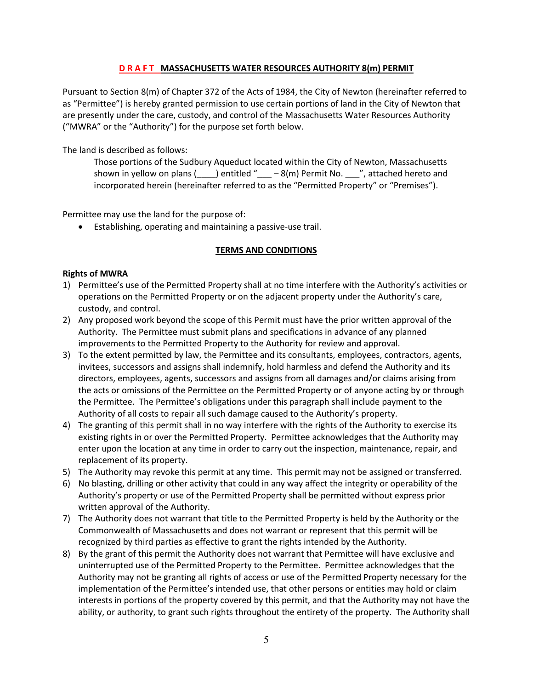## **D R A F T MASSACHUSETTS WATER RESOURCES AUTHORITY 8(m) PERMIT**

Pursuant to Section 8(m) of Chapter 372 of the Acts of 1984, the City of Newton (hereinafter referred to as "Permittee") is hereby granted permission to use certain portions of land in the City of Newton that are presently under the care, custody, and control of the Massachusetts Water Resources Authority ("MWRA" or the "Authority") for the purpose set forth below.

The land is described as follows:

Those portions of the Sudbury Aqueduct located within the City of Newton, Massachusetts shown in yellow on plans  $($  ) entitled "  $-8(m)$  Permit No.  $\frac{1}{2}$ , attached hereto and incorporated herein (hereinafter referred to as the "Permitted Property" or "Premises").

Permittee may use the land for the purpose of:

• Establishing, operating and maintaining a passive-use trail.

## **TERMS AND CONDITIONS**

## **Rights of MWRA**

- 1) Permittee's use of the Permitted Property shall at no time interfere with the Authority's activities or operations on the Permitted Property or on the adjacent property under the Authority's care, custody, and control.
- 2) Any proposed work beyond the scope of this Permit must have the prior written approval of the Authority. The Permittee must submit plans and specifications in advance of any planned improvements to the Permitted Property to the Authority for review and approval.
- 3) To the extent permitted by law, the Permittee and its consultants, employees, contractors, agents, invitees, successors and assigns shall indemnify, hold harmless and defend the Authority and its directors, employees, agents, successors and assigns from all damages and/or claims arising from the acts or omissions of the Permittee on the Permitted Property or of anyone acting by or through the Permittee. The Permittee's obligations under this paragraph shall include payment to the Authority of all costs to repair all such damage caused to the Authority's property.
- 4) The granting of this permit shall in no way interfere with the rights of the Authority to exercise its existing rights in or over the Permitted Property. Permittee acknowledges that the Authority may enter upon the location at any time in order to carry out the inspection, maintenance, repair, and replacement of its property.
- 5) The Authority may revoke this permit at any time. This permit may not be assigned or transferred.
- 6) No blasting, drilling or other activity that could in any way affect the integrity or operability of the Authority's property or use of the Permitted Property shall be permitted without express prior written approval of the Authority.
- 7) The Authority does not warrant that title to the Permitted Property is held by the Authority or the Commonwealth of Massachusetts and does not warrant or represent that this permit will be recognized by third parties as effective to grant the rights intended by the Authority.
- 8) By the grant of this permit the Authority does not warrant that Permittee will have exclusive and uninterrupted use of the Permitted Property to the Permittee. Permittee acknowledges that the Authority may not be granting all rights of access or use of the Permitted Property necessary for the implementation of the Permittee's intended use, that other persons or entities may hold or claim interests in portions of the property covered by this permit, and that the Authority may not have the ability, or authority, to grant such rights throughout the entirety of the property. The Authority shall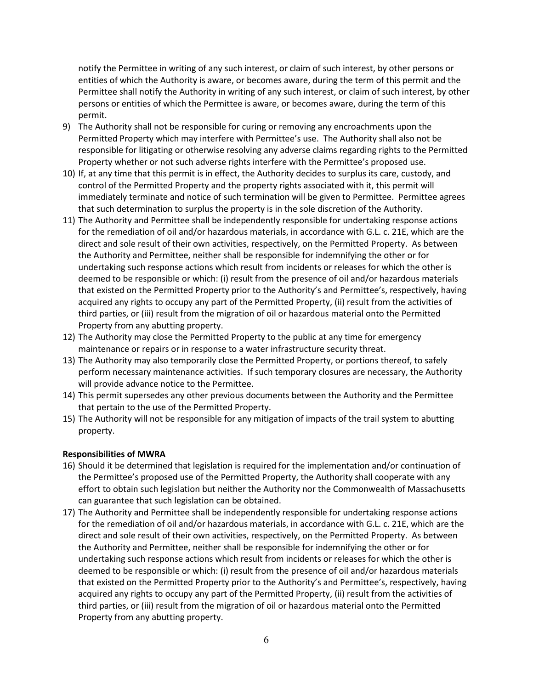notify the Permittee in writing of any such interest, or claim of such interest, by other persons or entities of which the Authority is aware, or becomes aware, during the term of this permit and the Permittee shall notify the Authority in writing of any such interest, or claim of such interest, by other persons or entities of which the Permittee is aware, or becomes aware, during the term of this permit.

- 9) The Authority shall not be responsible for curing or removing any encroachments upon the Permitted Property which may interfere with Permittee's use. The Authority shall also not be responsible for litigating or otherwise resolving any adverse claims regarding rights to the Permitted Property whether or not such adverse rights interfere with the Permittee's proposed use.
- 10) If, at any time that this permit is in effect, the Authority decides to surplus its care, custody, and control of the Permitted Property and the property rights associated with it, this permit will immediately terminate and notice of such termination will be given to Permittee. Permittee agrees that such determination to surplus the property is in the sole discretion of the Authority.
- 11) The Authority and Permittee shall be independently responsible for undertaking response actions for the remediation of oil and/or hazardous materials, in accordance with G.L. c. 21E, which are the direct and sole result of their own activities, respectively, on the Permitted Property. As between the Authority and Permittee, neither shall be responsible for indemnifying the other or for undertaking such response actions which result from incidents or releases for which the other is deemed to be responsible or which: (i) result from the presence of oil and/or hazardous materials that existed on the Permitted Property prior to the Authority's and Permittee's, respectively, having acquired any rights to occupy any part of the Permitted Property, (ii) result from the activities of third parties, or (iii) result from the migration of oil or hazardous material onto the Permitted Property from any abutting property.
- 12) The Authority may close the Permitted Property to the public at any time for emergency maintenance or repairs or in response to a water infrastructure security threat.
- 13) The Authority may also temporarily close the Permitted Property, or portions thereof, to safely perform necessary maintenance activities. If such temporary closures are necessary, the Authority will provide advance notice to the Permittee.
- 14) This permit supersedes any other previous documents between the Authority and the Permittee that pertain to the use of the Permitted Property.
- 15) The Authority will not be responsible for any mitigation of impacts of the trail system to abutting property.

## **Responsibilities of MWRA**

- 16) Should it be determined that legislation is required for the implementation and/or continuation of the Permittee's proposed use of the Permitted Property, the Authority shall cooperate with any effort to obtain such legislation but neither the Authority nor the Commonwealth of Massachusetts can guarantee that such legislation can be obtained.
- 17) The Authority and Permittee shall be independently responsible for undertaking response actions for the remediation of oil and/or hazardous materials, in accordance with G.L. c. 21E, which are the direct and sole result of their own activities, respectively, on the Permitted Property. As between the Authority and Permittee, neither shall be responsible for indemnifying the other or for undertaking such response actions which result from incidents or releases for which the other is deemed to be responsible or which: (i) result from the presence of oil and/or hazardous materials that existed on the Permitted Property prior to the Authority's and Permittee's, respectively, having acquired any rights to occupy any part of the Permitted Property, (ii) result from the activities of third parties, or (iii) result from the migration of oil or hazardous material onto the Permitted Property from any abutting property.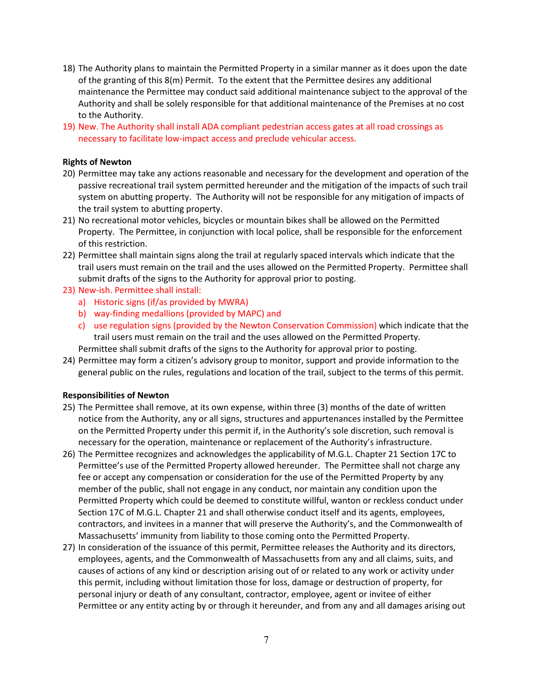- 18) The Authority plans to maintain the Permitted Property in a similar manner as it does upon the date of the granting of this 8(m) Permit. To the extent that the Permittee desires any additional maintenance the Permittee may conduct said additional maintenance subject to the approval of the Authority and shall be solely responsible for that additional maintenance of the Premises at no cost to the Authority.
- 19) New. The Authority shall install ADA compliant pedestrian access gates at all road crossings as necessary to facilitate low-impact access and preclude vehicular access.

### **Rights of Newton**

- 20) Permittee may take any actions reasonable and necessary for the development and operation of the passive recreational trail system permitted hereunder and the mitigation of the impacts of such trail system on abutting property. The Authority will not be responsible for any mitigation of impacts of the trail system to abutting property.
- 21) No recreational motor vehicles, bicycles or mountain bikes shall be allowed on the Permitted Property. The Permittee, in conjunction with local police, shall be responsible for the enforcement of this restriction.
- 22) Permittee shall maintain signs along the trail at regularly spaced intervals which indicate that the trail users must remain on the trail and the uses allowed on the Permitted Property. Permittee shall submit drafts of the signs to the Authority for approval prior to posting.
- 23) New-ish. Permittee shall install:
	- a) Historic signs (if/as provided by MWRA)
	- b) way-finding medallions (provided by MAPC) and
	- c) use regulation signs (provided by the Newton Conservation Commission) which indicate that the trail users must remain on the trail and the uses allowed on the Permitted Property.

Permittee shall submit drafts of the signs to the Authority for approval prior to posting.

24) Permittee may form a citizen's advisory group to monitor, support and provide information to the general public on the rules, regulations and location of the trail, subject to the terms of this permit.

#### **Responsibilities of Newton**

- 25) The Permittee shall remove, at its own expense, within three (3) months of the date of written notice from the Authority, any or all signs, structures and appurtenances installed by the Permittee on the Permitted Property under this permit if, in the Authority's sole discretion, such removal is necessary for the operation, maintenance or replacement of the Authority's infrastructure.
- 26) The Permittee recognizes and acknowledges the applicability of M.G.L. Chapter 21 Section 17C to Permittee's use of the Permitted Property allowed hereunder. The Permittee shall not charge any fee or accept any compensation or consideration for the use of the Permitted Property by any member of the public, shall not engage in any conduct, nor maintain any condition upon the Permitted Property which could be deemed to constitute willful, wanton or reckless conduct under Section 17C of M.G.L. Chapter 21 and shall otherwise conduct itself and its agents, employees, contractors, and invitees in a manner that will preserve the Authority's, and the Commonwealth of Massachusetts' immunity from liability to those coming onto the Permitted Property.
- 27) In consideration of the issuance of this permit, Permittee releases the Authority and its directors, employees, agents, and the Commonwealth of Massachusetts from any and all claims, suits, and causes of actions of any kind or description arising out of or related to any work or activity under this permit, including without limitation those for loss, damage or destruction of property, for personal injury or death of any consultant, contractor, employee, agent or invitee of either Permittee or any entity acting by or through it hereunder, and from any and all damages arising out